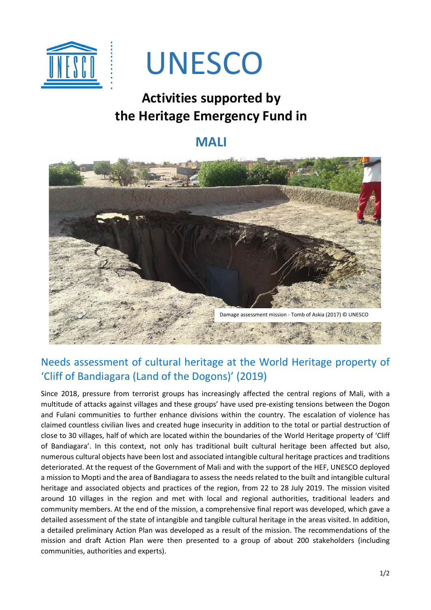

# UNESCO

# **Activities supported by the Heritage Emergency Fund in**

## **MALI**



### Needs assessment of cultural heritage at the World Heritage property of 'Cliff of Bandiagara (Land of the Dogons)' (2019)

Since 2018, pressure from terrorist groups has increasingly affected the central regions of Mali, with a multitude of attacks against villages and these groups' have used pre-existing tensions between the Dogon and Fulani communities to further enhance divisions within the country. The escalation of violence has claimed countless civilian lives and created huge insecurity in addition to the total or partial destruction of close to 30 villages, half of which are located within the boundaries of the World Heritage property of 'Cliff of Bandiagara'. In this context, not only has traditional built cultural heritage been affected but also, numerous cultural objects have been lost and associated intangible cultural heritage practices and traditions deteriorated. At the request of the Government of Mali and with the support of the HEF, UNESCO deployed a mission to Mopti and the area of Bandiagara to assess the needs related to the built and intangible cultural heritage and associated objects and practices of the region, from 22 to 28 July 2019. The mission visited around 10 villages in the region and met with local and regional authorities, traditional leaders and community members. At the end of the mission, a comprehensive final report was developed, which gave a detailed assessment of the state of intangible and tangible cultural heritage in the areas visited. In addition, a detailed preliminary Action Plan was developed as a result of the mission. The recommendations of the mission and draft Action Plan were then presented to a group of about 200 stakeholders (including communities, authorities and experts).